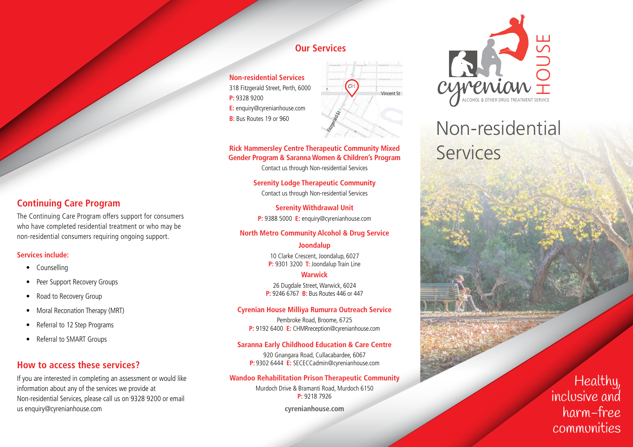# **Our Services**

**Non-residential Services** 318 Fitzgerald Street, Perth, 6000 **P:** 9328 9200 **E:** enquiry@cyrenianhouse.com **B:** Bus Routes 19 or 960



#### **Rick Hammersley Centre Therapeutic Community Mixed Gender Program & Saranna Women & Children's Program**

Contact us through Non-residential Services

**Serenity Lodge Therapeutic Community** Contact us through Non-residential Services

**Serenity Withdrawal Unit P:** 9388 5000 **E:** enquiry@cyrenianhouse.com

#### **North Metro Community Alcohol & Drug Service**

### **Joondalup**

10 Clarke Crescent, Joondalup, 6027 **P:** 9301 3200 **T:** Joondalup Train Line

#### **Warwick**

26 Dugdale Street, Warwick, 6024 **P:** 9246 6767 **B:** Bus Routes 446 or 447

#### **Cyrenian House Milliya Rumurra Outreach Service**

Pembroke Road, Broome, 6725 **P:** 9192 6400 **E:** CHMRreception@cyrenianhouse.com

#### **Saranna Early Childhood Education & Care Centre**

920 Gnangara Road, Cullacabardee, 6067 **P:** 9302 6444 **E:** SECECCadmin@cyrenianhouse.com

#### **Wandoo Rehabilitation Prison Therapeutic Community**

Murdoch Drive & Bramanti Road, Murdoch 6150 **P:** 9218 7926

**cyrenianhouse.com**



# Non-residential Services

**Continuing Care Program**

The Continuing Care Program offers support for consumers who have completed residential treatment or who may be non-residential consumers requiring ongoing support.

### **Services include:**

- Counselling
- Peer Support Recovery Groups
- Road to Recovery Group
- Moral Reconation Therapy (MRT)
- Referral to 12 Step Programs
- Referral to SMART Groups

# **How to access these services?**

If you are interested in completing an assessment or would like information about any of the services we provide at Non-residential Services, please call us on 9328 9200 or email us enquiry@cyrenianhouse.com

Healthy, inclusive and harm-free communities